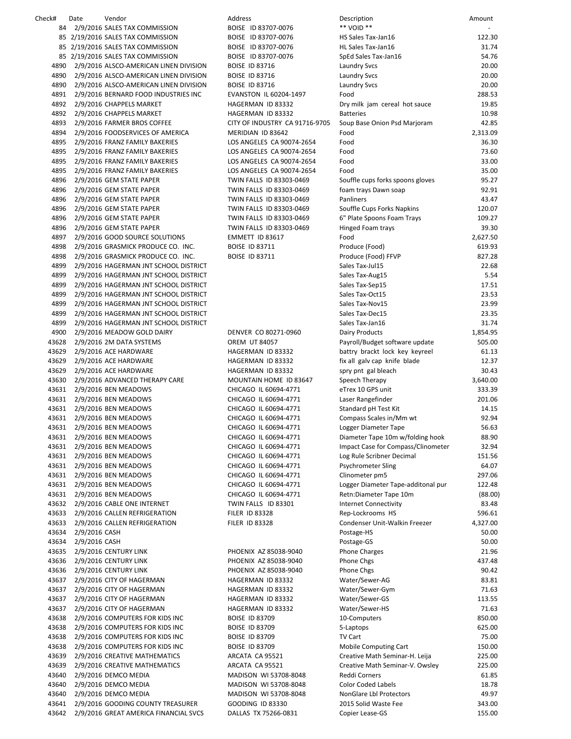Check# Date Vendor Address Description Amount 84 2/9/2016 SALES TAX COMMISSION BOISE ID 83707-0076 \*\* 85 2/19/2016 SALES TAX COMMISSION BOISE ID 83707-0076 ILL 85 2/19/2016 SALES TAX COMMISSION BOISE ID 83707‐0076 HL Sales Tax‐Jan16 31.74 85 2/19/2016 SALES TAX COMMISSION BOISE ID 83707-0076 Sp 4890 2/9/2016 ALSCO-AMERICAN LINEN DIVISION BOISE ID 83716 La 4890 2/9/2016 ALSCO-AMERICAN LINEN DIVISION BOISE ID 83716 La 4890 2/9/2016 ALSCO-AMERICAN LINEN DIVISION BOISE ID 83716 La 4891 2/9/2016 BERNARD FOOD INDUSTRIES INC EVANSTON IL 60204‐1497 Food 288.53 4892 2/9/2016 CHAPPELS MARKET HAGERMAN ID 83332 Dry milk jam cereal hot sauce 19.85 4892 2/9/2016 CHAPPELS MARKET HAGERMAN ID 83332 Batteries 10.988 4893 2/9/2016 FARMER BROS COFFEE CITY OF INDUSTRY CA 91716-9705 Sc 4894 2/9/2016 FOODSERVICES OF AMERICA MERIDIAN ID 83642 Food 2,313.09 4895 2/9/2016 FRANZ FAMILY BAKERIES LOS ANGELES CA 90074-2654 Fo 4895 2/9/2016 FRANZ FAMILY BAKERIES LOS ANGELES CA 90074-2654 Fo 4895 2/9/2016 FRANZ FAMILY BAKERIES LOS ANGELES CA 90074-2654 Fo 4895 2/9/2016 FRANZ FAMILY BAKERIES LOS ANGELES CA 90074-2654 Fo 4896 2/9/2016 GEM STATE PAPER TWIN FALLS ID 83303‐0469 Souffle cups forks spoons gloves 95.27 4896 2/9/2016 GEM STATE PAPER TWIN FALLS ID 83303-0469 fo 4896 2/9/2016 GEM STATE PAPER TWIN FALLS ID 83303-0469 Pa 4896 2/9/2016 GEM STATE PAPER TWIN FALLS ID 83303-0469 South FALLS ID 83303-0469 4896 2/9/2016 GEM STATE PAPER TWIN FALLS ID 83303-0469 6" 4896 2/9/2016 GEM STATE PAPER TWIN FALLS ID 83303‐0469 Hinged Foam trays 39.30 4897 2/9/2016 GOOD SOURCE SOLUTIONS EMMETT ID 83617 Food 2,627.50 4898 2/9/2016 GRASMICK PRODUCE CO. INC. BOISE ID 83711 Produce (Form) 6149. 4898 2/9/2016 GRASMICK PRODUCE CO. INC. BOISE ID 83711 Produce 1 4899 2/9/2016 HAGERMAN JNT SCHOOL DISTRICT **Taxabel Account 22.688 22.688 22.688 22.688 22.688 22.688 23.688 23.68** 4899 2/9/2016 HAGERMAN JNT SCHOOL DISTRICT **Taxabel School Sales Taxes** Sa 4899 2/9/2016 HAGERMAN JNT SCHOOL DISTRICT **TaxeSeptember 17.51 17.521 17.521 17.521 17.521 17.521 17.521 17.52** 4899 2/9/2016 HAGERMAN JNT SCHOOL DISTRICT **Taxabel Access 23.533.533.533.53** 4899 2/9/2016 HAGERMAN JNT SCHOOL DISTRICT Sales Tax‐Nov15 23.99 4899 2/9/2016 HAGERMAN JNT SCHOOL DISTRICT **Taxabel ASSESSED ASSESSED AT A SSESS** 4899 2/9/2016 HAGERMAN JNT SCHOOL DISTRICT **Taxable States Taxable 31.745 States** 4900 2/9/2016 MEADOW GOLD DAIRY DENVER CO 80271-0960 Dairy Products 1,854.954.954.954.954.954.954.95 43628 2/9/2016 2M DATA SYSTEMS OREM UT 84057 Payroll Budget some update some update 50 payroll. 43629 2/9/2016 ACE HARDWARE HAGERMAN ID 83332 battry brackt lock key keyreel 61.13 43629 2/9/2016 ACE HARDWARE HAGERMAN ID 83332 fix 43629 2/9/2016 ACE HARDWARE HAGERMAN ID 83332 spr 43630 2/9/2016 ADVANCED THERAPY CARE MOUNTAIN HOME ID 83647 Sp 43631 2/9/2016 BEN MEADOWS CHICAGO IL 60694-4771 eT 43631 2/9/2016 BEN MEADOWS CHICAGO IL 60694-4771 La 43631 2/9/2016 BEN MEADOWS CHICAGO IL 60694-4771 St 43631 2/9/2016 BEN MEADOWS CHICAGO IL 60694-4771 COMPASS COMPASS COMPASS COMPASS COMPASS COMPASS COMPASS COMPASS COMPASS COMPASS COMPASS COMPASS COMPASS COMPASS COMPASS 43631 2/9/2016 BEN MEADOWS CHICAGO IL 60694-4771 Lo 43631 2/9/2016 BEN MEADOWS CHICAGO IL 60694-4771 Diameter Tape 10m was not all the 10m with the 10m with the 1 43631 2/9/2016 BEN MEADOWS CHICAGO IL 60694-4771 Im 43631 2/9/2016 BEN MEADOWS CHICAGO IL 60694-4771 Log Rule Scribner Decimal 15 43631 2/9/2016 BEN MEADOWS CHICAGO IL 60694-4771 Ps 43631 2/9/2016 BEN MEADOWS CHICAGO IL 60694-4771 CI 43631 2/9/2016 BEN MEADOWS CHICAGO IL 60694-4771 Log 43631 2/9/2016 BEN MEADOWS CHICAGO IL 60694-4771 Re 43632 2/9/2016 CABLE ONE INTERNET TWIN FALLS ID 83301 Internet Connection Connection Connection Connection 43633 2/9/2016 CALLEN REFRIGERATION FILER ID 83328 Rep. 43633 2/9/2016 CALLEN REFRIGERATION FILER ID 83328 Condenser Condenser Condenser 2, 2016 43634 2/9/2016 CASH Postage‐HS 50.00 43634 2/9/2016 CASH Postage‐GS 50.00 43635 2/9/2016 CENTURY LINK **PHOENIX AZ 85038-9040** Phone Charges 21.967 Phone Charges 21.967 Ph 43636 2/9/2016 CENTURY LINK PHOENIX AZ 85038‐9040 Phone Chgs 437.48 43636 2/9/2016 CENTURY LINK PHOENIX AZ 85038-9040 Phone Change Chegs 9040 43637 2/9/2016 CITY OF HAGERMAN NEWSLAU HAGERMAN ID 83332 WATER 43637 2/9/2016 CITY OF HAGERMAN NAGERMAN HAGERMAN ID 83332 W 43637 2/9/2016 CITY OF HAGERMAN HAGERMAN HAGERMAN ID 83332 W 43637 2/9/2016 CITY OF HAGERMAN NEWSLAU HAGERMAN ID 83332 W 43638 2/9/2016 COMPUTERS FOR KIDS INC BOISE ID 83709 10 43638 2/9/2016 COMPUTERS FOR KIDS INC BOISE ID 83709 5-43638 2/9/2016 COMPUTERS FOR KIDS INC BOISE ID 83709 TV 43638 2/9/2016 COMPUTERS FOR KIDS INC BOISE ID 83709 MOBILE COMPUTERS FOR KIDS INC 43639 2/9/2016 CREATIVE MATHEMATICS ARCATA CA 95521 Creative Math Seminar Seminar Seminar Seminar Seminar S 43639 2/9/2016 CREATIVE MATHEMATICS ARCATA CA 95521 Creative Math Seminar Creative Math Seminar Arc 43640 2/9/2016 DEMCO MEDIA MADISON WI 53708-8048 Re 43640 2/9/2016 DEMCO MEDIA MADISON WI 53708-8048 Co 43640 2/9/2016 DEMCO MEDIA MADISON WI 53708-8048 No 43641 2/9/2016 GOODING COUNTY TREASURER GOODING ID 83330 2015 43642 2/9/2016 GREAT AMERICA FINANCIAL SVCS DALLAS TX 75266-0831 Co

| escription                                           | Amount             |
|------------------------------------------------------|--------------------|
| VOID **                                              |                    |
| S Sales Tax-Jan16<br>Sales Tax-Jan16                 | 122.30<br>31.74    |
| Ed Sales Tax-Jan16                                   | 54.76              |
| undry Svcs                                           | 20.00              |
| undry Svcs                                           | 20.00              |
| undry Svcs                                           | 20.00              |
| od                                                   | 288.53             |
| ry milk jam cereal hot sauce                         | 19.85              |
| atteries                                             | 10.98              |
| oup Base Onion Psd Marjoram<br>od                    | 42.85<br>2,313.09  |
| od                                                   | 36.30              |
| od                                                   | 73.60              |
| od                                                   | 33.00              |
| od                                                   | 35.00              |
| ouffle cups forks spoons gloves                      | 95.27              |
| am trays Dawn soap                                   | 92.91              |
| anliners                                             | 43.47              |
| ouffle Cups Forks Napkins<br>Plate Spoons Foam Trays | 120.07<br>109.27   |
| nged Foam trays                                      | 39.30              |
| od                                                   | 2,627.50           |
| oduce (Food)                                         | 619.93             |
| oduce (Food) FFVP                                    | 827.28             |
| iles Tax-Jul15                                       | 22.68              |
| Iles Tax-Aug15                                       | 5.54               |
| lles Tax-Sep15                                       | 17.51              |
| lles Tax-Oct15<br>les Tax-Nov15                      | 23.53<br>23.99     |
| les Tax-Dec15                                        | 23.35              |
| lles Tax-Jan16                                       | 31.74              |
| airy Products                                        | 1,854.95           |
| iyroll/Budget software update                        | 505.00             |
| attry brackt lock key keyreel                        | 61.13              |
| all galv cap knife blade                             | 12.37              |
| ry pnt gal bleach                                    | 30.43              |
| eech Therapy<br>rex 10 GPS unit                      | 3,640.00<br>333.39 |
| ser Rangefinder                                      | 201.06             |
| andard pH Test Kit                                   | 14.15              |
| ompass Scales in/Mm wt                               | 92.94              |
| gger Diameter Tape                                   | 56.63              |
| ameter Tape 10m w/folding hook                       | 88.90              |
| npact Case for Compass/Clinometer                    | 32.94              |
| g Rule Scribner Decimal                              | 151.56<br>64.07    |
| ychrometer Sling<br>inometer pm5                     | 297.06             |
| gger Diameter Tape-additonal pur                     | 122.48             |
| etn:Diameter Tape 10m                                | (88.00)            |
| ternet Connectivity                                  | 83.48              |
| ep-Lockrooms HS                                      | 596.61             |
| ondenser Unit-Walkin Freezer                         | 4,327.00           |
| ostage-HS                                            | 50.00              |
| ostage-GS<br>one Charges                             | 50.00<br>21.96     |
| one Chgs                                             | 437.48             |
| one Chgs                                             | 90.42              |
| 'ater/Sewer-AG                                       | 83.81              |
| 'ater/Sewer-Gym                                      | 71.63              |
| 'ater/Sewer-GS                                       | 113.55             |
| 'ater/Sewer-HS                                       | 71.63              |
| -Computers                                           | 850.00             |
| Laptops<br>/ Cart                                    | 625.00<br>75.00    |
| obile Computing Cart                                 | 150.00             |
| eative Math Seminar-H. Leija                         | 225.00             |
| eative Math Seminar-V. Owsley                        | 225.00             |
| eddi Corners                                         | 61.85              |
| olor Coded Labels                                    | 18.78              |
| onGlare Lbl Protectors                               | 49.97              |
| 015 Solid Waste Fee                                  | 343.00<br>155.00   |
| ppier Lease-GS                                       |                    |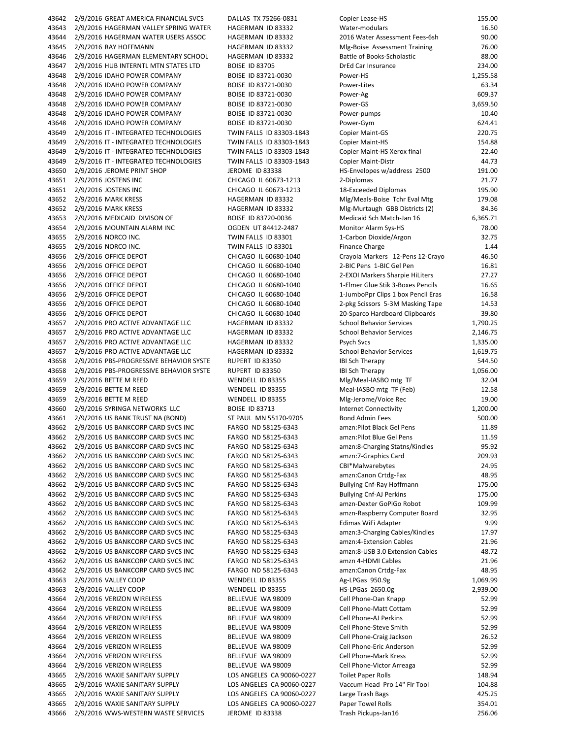43642 2/9/2016 GREAT AMERICA FINANCIAL SVCS DALLAS TX 75266-0831 C 43643 2/9/2016 HAGERMAN VALLEY SPRING WATER HAGERMAN ID 83332 W 43644 2/9/2016 HAGERMAN WATER USERS ASSOC HAGERMAN ID 83332 2016 Water Assessment Fees‐6sh 90.00 43645 2/9/2016 RAY HOFFMANN HAGERMAN ID 83332 M 43646 2/9/2016 HAGERMAN ELEMENTARY SCHOOL HAGERMAN ID 83332 B 43647 2/9/2016 HUB INTERNTL MTN STATES LTD BOISE ID 83705 DRED CAR INSURANCE 234.000 D 43648 2/9/2016 IDAHO POWER COMPANY BOISE ID 83721-0030 P 43648 2/9/2016 IDAHO POWER COMPANY BOISE ID 83721-0030 P 43648 2/9/2016 IDAHO POWER COMPANY BOISE ID 83721-0030 P 43648 2/9/2016 IDAHO POWER COMPANY BOISE ID 83721-0030 P 43648 2/9/2016 IDAHO POWER COMPANY BOISE ID 83721-0030 P 43648 2/9/2016 IDAHO POWER COMPANY BOISE ID 83721-0030 P 43649 2/9/2016 IT - INTEGRATED TECHNOLOGIES TWIN FALLS ID 83303-1843 COPIER 43649 2/9/2016 IT - INTEGRATED TECHNOLOGIES TWIN FALLS ID 83303-1843 COPIER 43649 2/9/2016 IT - INTEGRATED TECHNOLOGIES TWIN FALLS ID 83303-1843 Co 43649 2/9/2016 IT - INTEGRATED TECHNOLOGIES TWIN FALLS ID 83303-1843 COPIER 43650 2/9/2016 JEROME PRINT SHOP SHOWE IEROME ID 83338 HS 43651 2/9/2016 JOSTENS INC CHICAGO IL 60673-1213 2 43651 2/9/2016 JOSTENS INC CHICAGO IL 60673‐1213 18‐Exceeded Diplomas 195.90 43652 2/9/2016 MARK KRESS HAGERMAN ID 83332 43652 2/9/2016 MARK KRESS HAGERMAN ID 83332 M 43653 2/9/2016 MEDICAID DIVISON OF BOISE ID 83720-0036 Medical School Match 43654 2/9/2016 MOUNTAIN ALARM INC OGDEN UT 84412‐2487 Monitor Alarm Sys‐HS 78.00 43655 2/9/2016 NORCO INC. TWIN FALLS ID 83301 1 43655 2/9/2016 NORCO INC. TWIN FALLS ID 83301 Finance Charge 1.444 Finance Charge 1.444 Charge 1.444 Charge 1 43656 2/9/2016 OFFICE DEPOT CHICAGO IL 60680-1040 CI 43656 2/9/2016 OFFICE DEPOT CHICAGO IL 60680-1040 2 43656 2/9/2016 OFFICE DEPOT CHICAGO IL 60680-1040 2 43656 2/9/2016 OFFICE DEPOT CHICAGO IL 60680‐1040 1‐Elmer Glue Stik 3‐Boxes Pencils 16.65 43656 2/9/2016 OFFICE DEPOT CHICAGO IL 60680-1040 1 43656 2/9/2016 OFFICE DEPOT CHICAGO IL 60680-1040 2 43656 2/9/2016 OFFICE DEPOT CHICAGO IL 60680-1040 2 43657 2/9/2016 PRO ACTIVE ADVANTAGE LLC 
BHAGERMAN ID 83332

S 43657 2/9/2016 PRO ACTIVE ADVANTAGE LLC HAGERMAN ID 83332 S 43657 2/9/2016 PRO ACTIVE ADVANTAGE LLC HAGERMAN ID 83332 P 43657 2/9/2016 PRO ACTIVE ADVANTAGE LLC HAGERMAN ID 83332 S 43658 2/9/2016 PBS‐PROGRESSIVE BEHAVIOR SYSTE RUPERT ID 83350 IBI Sch Therapy 544.50 43658 2/9/2016 PBS-PROGRESSIVE BEHAVIOR SYSTE RUPERT ID 83350 IB 43659 2/9/2016 BETTE M REED WENDELL ID 83355 M 43659 2/9/2016 BETTE M REED WENDELL ID 83355 M 43659 2/9/2016 BETTE M REED WENDELL ID 83355 M 43660 2/9/2016 SYRINGA NETWORKS LLC BOISE ID 83713 Internet Connectivity Internet Connectivity Internet Connectivity Internet Connectivity Internet Connectivity Internet Connectivity Internet Connectivity Internet Connec 43661 2/9/2016 US BANK TRUST NA (BOND) ST PAUL MN 55170-9705 B 43662 2/9/2016 US BANKCORP CARD SVCS INC FARGO ND 58125‐6343 amzn:Pilot Black Gel Pens 11.89 43662 2/9/2016 US BANKCORP CARD SVCS INC FARGO ND 58125-6343 am 43662 2/9/2016 US BANKCORP CARD SVCS INC FARGO ND 58125-6343 amazon: 43662 2/9/2016 US BANKCORP CARD SVCS INC FARGO ND 58125-6343 amazon: 43662 2/9/2016 US BANKCORP CARD SVCS INC FARGO ND 58125‐6343 CBI\*Malwarebytes 24.95 43662 2/9/2016 US BANKCORP CARD SVCS INC FARGO ND 58125‐6343 amzn:Canon Crtdg‐Fax 48.95 43662 2/9/2016 US BANKCORP CARD SVCS INC FARGO ND 58125-6343 B 43662 2/9/2016 US BANKCORP CARD SVCS INC FARGO ND 58125-6343 BI 43662 2/9/2016 US BANKCORP CARD SVCS INC FARGO ND 58125-6343 amazon 43662 2/9/2016 US BANKCORP CARD SVCS INC FARGO ND 58125-6343 amazon 43662 2/9/2016 US BANKCORP CARD SVCS INC FARGO ND 58125-6343 E 43662 2/9/2016 US BANKCORP CARD SVCS INC FARGO ND 58125-6343 amazon: 43662 2/9/2016 US BANKCORP CARD SVCS INC FARGO ND 58125-6343 amazon: 43662 2/9/2016 US BANKCORP CARD SVCS INC FARGO ND 58125-6343 am 43662 2/9/2016 US BANKCORP CARD SVCS INC FARGO ND 58125‐6343 amzn 4‐HDMI Cables 21.96 43662 2/9/2016 US BANKCORP CARD SVCS INC FARGO ND 58125-6343 amazon: 43663 2/9/2016 VALLEY COOP WENDELL ID 83355 AG 43663 2/9/2016 VALLEY COOP WENDELL ID 83355 43664 2/9/2016 VERIZON WIRELESS BELLEVUE WA 98009 C 43664 2/9/2016 VERIZON WIRELESS BELLEVUE WA 98009 C 43664 2/9/2016 VERIZON WIRELESS BELLEVUE WA 98009 C 43664 2/9/2016 VERIZON WIRELESS BELLEVUE WA 98009 Cell Phone 43664 2/9/2016 VERIZON WIRELESS BELLEVUE WA 98009 C 43664 2/9/2016 VERIZON WIRELESS BELLEVUE WA 98009 Cell Phone 43664 2/9/2016 VERIZON WIRELESS BELLEVUE WA 98009 C 43664 2/9/2016 VERIZON WIRELESS BELLEVUE WA 98009 Cell Phone 43665 2/9/2016 WAXIE SANITARY SUPPLY LOS ANGELES CA 90060-0227 To 43665 2/9/2016 WAXIE SANITARY SUPPLY LOS ANGELES CA 90060-0227 V 43665 2/9/2016 WAXIE SANITARY SUPPLY LOS ANGELES CA 90060-0227 La 43665 2/9/2016 WAXIE SANITARY SUPPLY LOS ANGELES CA 90060-0227 P 43666 2/9/2016 WWS-WESTERN WASTE SERVICES JEROME ID 83338 TRASH PICKUPS

| opier Lease-HS                                           | 155.00            |
|----------------------------------------------------------|-------------------|
| /ater-modulars                                           | 16.50             |
| 016 Water Assessment Fees-6sh                            | 90.00             |
| Ilg-Boise Assessment Training                            | 76.00             |
| attle of Books-Scholastic<br>rEd Car Insurance           | 88.00<br>234.00   |
| ower-HS                                                  | 1,255.58          |
| ower-Lites                                               | 63.34             |
| ower-Ag                                                  | 609.37            |
| ower-GS                                                  | 3,659.50          |
| ower-pumps                                               | 10.40             |
| ower-Gym                                                 | 624.41            |
| opier Maint-GS                                           | 220.75            |
| opier Maint-HS                                           | 154.88            |
| opier Maint-HS Xerox final                               | 22.40             |
| opier Maint-Distr                                        | 44.73             |
| S-Envelopes w/address 2500                               | 191.00            |
| -Diplomas<br>8-Exceeded Diplomas                         | 21.77<br>195.90   |
| 1lg/Meals-Boise Tchr Eval Mtg                            | 179.08            |
| Ilg-Murtaugh GBB Districts (2)                           | 84.36             |
| ledicaid Sch Match-Jan 16                                | 6,365.71          |
| <b>Ionitor Alarm Sys-HS</b>                              | 78.00             |
| -Carbon Dioxide/Argon                                    | 32.75             |
| inance Charge                                            | 1.44              |
| rayola Markers 12-Pens 12-Crayo                          | 46.50             |
| -BIC Pens 1-BIC Gel Pen                                  | 16.81             |
| <b>EXOI Markers Sharpie HiLiters</b>                     | 27.27             |
| -Elmer Glue Stik 3-Boxes Pencils                         | 16.65             |
| -JumboPpr Clips 1 box Pencil Eras                        | 16.58             |
| -pkg Scissors 5-3M Masking Tape                          | 14.53             |
| 0-Sparco Hardboard Clipboards<br>chool Behavior Services | 39.80<br>1,790.25 |
| chool Behavior Services                                  | 2,146.75          |
| sych Svcs                                                | 1,335.00          |
| chool Behavior Services                                  | 1,619.75          |
| <b>31 Sch Therapy</b>                                    | 544.50            |
| <b>31 Sch Therapy</b>                                    | 1,056.00          |
| 1lg/Meal-IASBO mtg TF                                    | 32.04             |
| leal-IASBO mtg TF (Feb)                                  | 12.58             |
| 1lg-Jerome/Voice Rec<br><b>Iternet Connectivity</b>      | 19.00<br>1,200.00 |
| ond Admin Fees                                           | 500.00            |
| mzn:Pilot Black Gel Pens                                 | 11.89             |
| mzn:Pilot Blue Gel Pens                                  | 11.59             |
| mzn:8-Charging Statns/Kindles                            | 95.92             |
| mzn:7-Graphics Card                                      | 209.93            |
| BI*Malwarebytes                                          | 24.95             |
| mzn:Canon Crtdg-Fax                                      | 48.95             |
| ullying Cnf-Ray Hoffmann                                 | 175.00            |
| ullying Cnf-AJ Perkins<br>mzn-Dexter GoPiGo Robot        | 175.00            |
| mzn-Raspberry Computer Board                             | 109.99<br>32.95   |
| dimas WiFi Adapter                                       | 9.99              |
| mzn:3-Charging Cables/Kindles                            | 17.97             |
| mzn:4-Extension Cables                                   | 21.96             |
| mzn:8-USB 3.0 Extension Cables                           | 48.72             |
| mzn 4-HDMI Cables                                        | 21.96             |
| mzn:Canon Crtdg-Fax                                      | 48.95             |
| g-LPGas 950.9g                                           | 1,069.99          |
| S-LPGas 2650.0g                                          | 2,939.00          |
| ell Phone-Dan Knapp<br>ell Phone-Matt Cottam             | 52.99<br>52.99    |
| ell Phone-AJ Perkins                                     | 52.99             |
| ell Phone-Steve Smith                                    | 52.99             |
| ell Phone-Craig Jackson                                  | 26.52             |
| ell Phone-Eric Anderson                                  | 52.99             |
| ell Phone-Mark Kress                                     | 52.99             |
| ell Phone-Victor Arreaga                                 | 52.99             |
| oilet Paper Rolls                                        | 148.94            |
| accum Head Pro 14" Flr Tool                              | 104.88<br>425.25  |
| arge Trash Bags<br>aper Towel Rolls                      | 354.01            |
| rash Pickups-Jan16                                       | 256.06            |
|                                                          |                   |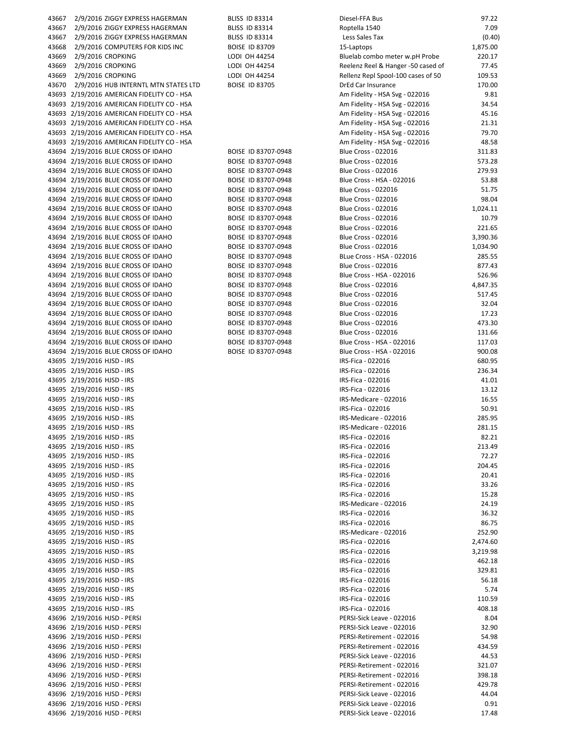| 43667 | 2/9/2016 ZIGGY EXPRESS HAGERMAN            | <b>BLISS ID 83314</b> | Diesel-FFA Bus                     | 97.22    |
|-------|--------------------------------------------|-----------------------|------------------------------------|----------|
| 43667 | 2/9/2016 ZIGGY EXPRESS HAGERMAN            | <b>BLISS ID 83314</b> | Roptella 1540                      | 7.09     |
| 43667 | 2/9/2016 ZIGGY EXPRESS HAGERMAN            | <b>BLISS ID 83314</b> | Less Sales Tax                     | (0.40)   |
| 43668 | 2/9/2016 COMPUTERS FOR KIDS INC            | <b>BOISE ID 83709</b> | 15-Laptops                         | 1,875.00 |
|       |                                            |                       |                                    |          |
| 43669 | 2/9/2016 CROPKING                          | LODI OH 44254         | Bluelab combo meter w.pH Probe     | 220.17   |
| 43669 | 2/9/2016 CROPKING                          | LODI OH 44254         | Reelenz Reel & Hanger -50 cased of | 77.45    |
| 43669 | 2/9/2016 CROPKING                          | LODI OH 44254         | Rellenz Repl Spool-100 cases of 50 | 109.53   |
| 43670 | 2/9/2016 HUB INTERNTL MTN STATES LTD       | <b>BOISE ID 83705</b> | DrEd Car Insurance                 | 170.00   |
|       | 43693 2/19/2016 AMERICAN FIDELITY CO - HSA |                       | Am Fidelity - HSA Svg - 022016     | 9.81     |
|       | 43693 2/19/2016 AMERICAN FIDELITY CO - HSA |                       | Am Fidelity - HSA Svg - 022016     | 34.54    |
|       | 43693 2/19/2016 AMERICAN FIDELITY CO - HSA |                       | Am Fidelity - HSA Svg - 022016     | 45.16    |
|       |                                            |                       |                                    |          |
|       | 43693 2/19/2016 AMERICAN FIDELITY CO - HSA |                       | Am Fidelity - HSA Svg - 022016     | 21.31    |
|       | 43693 2/19/2016 AMERICAN FIDELITY CO - HSA |                       | Am Fidelity - HSA Svg - 022016     | 79.70    |
|       | 43693 2/19/2016 AMERICAN FIDELITY CO - HSA |                       | Am Fidelity - HSA Svg - 022016     | 48.58    |
|       | 43694 2/19/2016 BLUE CROSS OF IDAHO        | BOISE ID 83707-0948   | <b>Blue Cross - 022016</b>         | 311.83   |
|       | 43694 2/19/2016 BLUE CROSS OF IDAHO        | BOISE ID 83707-0948   | <b>Blue Cross - 022016</b>         | 573.28   |
|       | 43694 2/19/2016 BLUE CROSS OF IDAHO        | BOISE ID 83707-0948   | <b>Blue Cross - 022016</b>         | 279.93   |
|       |                                            |                       |                                    |          |
|       | 43694 2/19/2016 BLUE CROSS OF IDAHO        | BOISE ID 83707-0948   | Blue Cross - HSA - 022016          | 53.88    |
|       | 43694 2/19/2016 BLUE CROSS OF IDAHO        | BOISE ID 83707-0948   | <b>Blue Cross - 022016</b>         | 51.75    |
|       | 43694 2/19/2016 BLUE CROSS OF IDAHO        | BOISE ID 83707-0948   | <b>Blue Cross - 022016</b>         | 98.04    |
|       | 43694 2/19/2016 BLUE CROSS OF IDAHO        | BOISE ID 83707-0948   | <b>Blue Cross - 022016</b>         | 1,024.11 |
|       | 43694 2/19/2016 BLUE CROSS OF IDAHO        | BOISE ID 83707-0948   | <b>Blue Cross - 022016</b>         | 10.79    |
|       | 43694 2/19/2016 BLUE CROSS OF IDAHO        | BOISE ID 83707-0948   | <b>Blue Cross - 022016</b>         | 221.65   |
|       | 43694 2/19/2016 BLUE CROSS OF IDAHO        | BOISE ID 83707-0948   | <b>Blue Cross - 022016</b>         | 3,390.36 |
|       |                                            |                       |                                    |          |
|       | 43694 2/19/2016 BLUE CROSS OF IDAHO        | BOISE ID 83707-0948   | <b>Blue Cross - 022016</b>         | 1,034.90 |
|       | 43694 2/19/2016 BLUE CROSS OF IDAHO        | BOISE ID 83707-0948   | BLue Cross - HSA - 022016          | 285.55   |
|       | 43694 2/19/2016 BLUE CROSS OF IDAHO        | BOISE ID 83707-0948   | <b>Blue Cross - 022016</b>         | 877.43   |
|       | 43694 2/19/2016 BLUE CROSS OF IDAHO        | BOISE ID 83707-0948   | Blue Cross - HSA - 022016          | 526.96   |
|       | 43694 2/19/2016 BLUE CROSS OF IDAHO        | BOISE ID 83707-0948   | <b>Blue Cross - 022016</b>         | 4,847.35 |
|       | 43694 2/19/2016 BLUE CROSS OF IDAHO        | BOISE ID 83707-0948   | <b>Blue Cross - 022016</b>         | 517.45   |
|       |                                            |                       |                                    |          |
|       | 43694 2/19/2016 BLUE CROSS OF IDAHO        | BOISE ID 83707-0948   | Blue Cross - 022016                | 32.04    |
|       | 43694 2/19/2016 BLUE CROSS OF IDAHO        | BOISE ID 83707-0948   | <b>Blue Cross - 022016</b>         | 17.23    |
|       | 43694 2/19/2016 BLUE CROSS OF IDAHO        | BOISE ID 83707-0948   | Blue Cross - 022016                | 473.30   |
|       | 43694 2/19/2016 BLUE CROSS OF IDAHO        | BOISE ID 83707-0948   | Blue Cross - 022016                | 131.66   |
|       | 43694 2/19/2016 BLUE CROSS OF IDAHO        | BOISE ID 83707-0948   | Blue Cross - HSA - 022016          | 117.03   |
|       | 43694 2/19/2016 BLUE CROSS OF IDAHO        | BOISE ID 83707-0948   | Blue Cross - HSA - 022016          | 900.08   |
|       | 43695 2/19/2016 HJSD - IRS                 |                       | IRS-Fica - 022016                  | 680.95   |
|       |                                            |                       |                                    |          |
|       | 43695 2/19/2016 HJSD - IRS                 |                       | IRS-Fica - 022016                  | 236.34   |
|       | 43695 2/19/2016 HJSD - IRS                 |                       | IRS-Fica - 022016                  | 41.01    |
|       | 43695 2/19/2016 HJSD - IRS                 |                       | IRS-Fica - 022016                  | 13.12    |
|       | 43695 2/19/2016 HJSD - IRS                 |                       | IRS-Medicare - 022016              | 16.55    |
|       | 43695 2/19/2016 HJSD - IRS                 |                       | IRS-Fica - 022016                  | 50.91    |
|       | 43695 2/19/2016 HJSD - IRS                 |                       | IRS-Medicare - 022016              | 285.95   |
|       |                                            |                       |                                    | 281.15   |
|       | 43695 2/19/2016 HJSD - IRS                 |                       | IRS-Medicare - 022016              |          |
|       | 43695 2/19/2016 HJSD - IRS                 |                       | IRS-Fica - 022016                  | 82.21    |
|       | 43695 2/19/2016 HJSD - IRS                 |                       | IRS-Fica - 022016                  | 213.49   |
|       | 43695 2/19/2016 HJSD - IRS                 |                       | IRS-Fica - 022016                  | 72.27    |
|       | 43695 2/19/2016 HJSD - IRS                 |                       | IRS-Fica - 022016                  | 204.45   |
|       | 43695 2/19/2016 HJSD - IRS                 |                       | IRS-Fica - 022016                  | 20.41    |
|       |                                            |                       | IRS-Fica - 022016                  |          |
|       | 43695 2/19/2016 HJSD - IRS                 |                       |                                    | 33.26    |
|       | 43695 2/19/2016 HJSD - IRS                 |                       | IRS-Fica - 022016                  | 15.28    |
|       | 43695 2/19/2016 HJSD - IRS                 |                       | IRS-Medicare - 022016              | 24.19    |
|       | 43695 2/19/2016 HJSD - IRS                 |                       | IRS-Fica - 022016                  | 36.32    |
|       | 43695 2/19/2016 HJSD - IRS                 |                       | IRS-Fica - 022016                  | 86.75    |
|       | 43695 2/19/2016 HJSD - IRS                 |                       | IRS-Medicare - 022016              | 252.90   |
|       | 43695 2/19/2016 HJSD - IRS                 |                       | IRS-Fica - 022016                  |          |
|       |                                            |                       |                                    | 2,474.60 |
|       | 43695 2/19/2016 HJSD - IRS                 |                       | IRS-Fica - 022016                  | 3,219.98 |
|       | 43695 2/19/2016 HJSD - IRS                 |                       | IRS-Fica - 022016                  | 462.18   |
|       | 43695 2/19/2016 HJSD - IRS                 |                       | IRS-Fica - 022016                  | 329.81   |
|       | 43695 2/19/2016 HJSD - IRS                 |                       | IRS-Fica - 022016                  | 56.18    |
|       | 43695 2/19/2016 HJSD - IRS                 |                       | IRS-Fica - 022016                  | 5.74     |
|       | 43695 2/19/2016 HJSD - IRS                 |                       | IRS-Fica - 022016                  | 110.59   |
|       |                                            |                       |                                    |          |
|       | 43695 2/19/2016 HJSD - IRS                 |                       | IRS-Fica - 022016                  | 408.18   |
|       | 43696 2/19/2016 HJSD - PERSI               |                       | PERSI-Sick Leave - 022016          | 8.04     |
|       | 43696 2/19/2016 HJSD - PERSI               |                       | PERSI-Sick Leave - 022016          | 32.90    |
|       | 43696 2/19/2016 HJSD - PERSI               |                       | PERSI-Retirement - 022016          | 54.98    |
|       | 43696 2/19/2016 HJSD - PERSI               |                       | PERSI-Retirement - 022016          | 434.59   |
|       | 43696 2/19/2016 HJSD - PERSI               |                       | PERSI-Sick Leave - 022016          | 44.53    |
|       |                                            |                       |                                    |          |
|       | 43696 2/19/2016 HJSD - PERSI               |                       | PERSI-Retirement - 022016          | 321.07   |
|       | 43696 2/19/2016 HJSD - PERSI               |                       | PERSI-Retirement - 022016          | 398.18   |
|       | 43696 2/19/2016 HJSD - PERSI               |                       | PERSI-Retirement - 022016          | 429.78   |
|       | 43696 2/19/2016 HJSD - PERSI               |                       | PERSI-Sick Leave - 022016          | 44.04    |
|       | 43696 2/19/2016 HJSD - PERSI               |                       | PERSI-Sick Leave - 022016          | 0.91     |
|       | 43696 2/19/2016 HJSD - PERSI               |                       | PERSI-Sick Leave - 022016          | 17.48    |
|       |                                            |                       |                                    |          |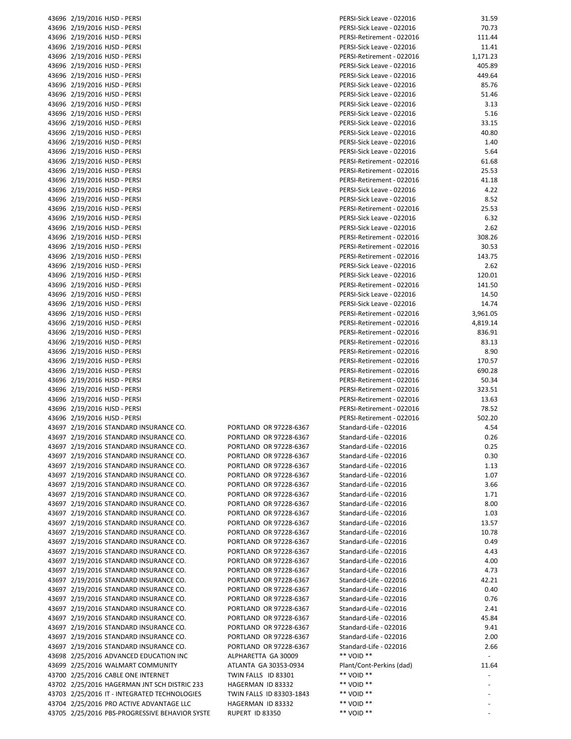|                | 43696 2/19/2016 HJSD - PERSI                                         |
|----------------|----------------------------------------------------------------------|
|                | 43696 2/19/2016 HJSD - PERSI                                         |
|                | 43696 2/19/2016 HJSD - PERSI                                         |
|                | 43696 2/19/2016 HJSD - PERSI                                         |
|                | 43696 2/19/2016 HJSD - PERSI                                         |
|                | 43696 2/19/2016 HJSD - PERSI                                         |
|                | 43696 2/19/2016 HJSD - PERSI<br>43696 2/19/2016 HJSD - PERSI         |
|                | 43696 2/19/2016 HJSD - PERSI                                         |
|                | 43696 2/19/2016 HJSD - PERSI                                         |
|                | 43696 2/19/2016 HJSD - PERSI                                         |
|                | 43696 2/19/2016 HJSD - PERSI                                         |
|                | 43696 2/19/2016 HJSD - PERSI                                         |
|                | 43696 2/19/2016 HJSD - PERSI                                         |
|                | 43696 2/19/2016 HJSD - PERSI<br>43696 2/19/2016 HJSD - PERSI         |
|                | 43696 2/19/2016 HJSD - PERSI                                         |
|                | 43696 2/19/2016 HJSD - PERSI                                         |
|                | 43696 2/19/2016 HJSD - PERSI                                         |
|                | 43696 2/19/2016 HJSD - PERSI                                         |
|                | 43696 2/19/2016 HJSD - PERSI                                         |
|                | 43696 2/19/2016 HJSD - PERSI                                         |
|                | 43696 2/19/2016 HJSD - PERSI                                         |
|                | 43696 2/19/2016 HJSD - PERSI<br>43696 2/19/2016 HJSD - PERSI         |
|                | 43696 2/19/2016 HJSD - PERSI                                         |
|                | 43696 2/19/2016 HJSD - PERSI                                         |
|                | 43696 2/19/2016 HJSD - PERSI                                         |
|                | 43696 2/19/2016 HJSD - PERSI                                         |
|                | 43696 2/19/2016 HJSD - PERSI                                         |
|                | 43696 2/19/2016 HJSD - PERSI                                         |
|                | 43696 2/19/2016 HJSD - PERSI                                         |
| 43696          | 43696 2/19/2016 HJSD - PERSI<br>2/19/2016 HJSD - PERSI               |
|                | 43696 2/19/2016 HJSD - PERSI                                         |
|                | 43696 2/19/2016 HJSD - PERSI                                         |
|                | 43696 2/19/2016 HJSD - PERSI                                         |
|                | 43696 2/19/2016 HJSD - PERSI                                         |
|                | 43696 2/19/2016 HJSD - PERSI                                         |
|                | 43696 2/19/2016 HJSD - PERSI                                         |
|                | 43696 2/19/2016 HJSD - PERSI<br>43696 2/19/2016 HJSD - PERSI         |
|                | 43696 2/19/2016 HJSD - PERSI                                         |
|                | 43697 2/19/2016 STANDARD INSURANCE CO.                               |
| 43697          | 2/19/2016 STANDARD INSURANCE CO.                                     |
| 43697          | 2/19/2016 STANDARD INSURANCE CO.                                     |
| 43697          | 2/19/2016 STANDARD INSURANCE CO.                                     |
| 43697          | 2/19/2016 STANDARD INSURANCE CO.                                     |
| 43697<br>43697 | 2/19/2016 STANDARD INSURANCE CO.<br>2/19/2016 STANDARD INSURANCE CO. |
| 43697          | 2/19/2016 STANDARD INSURANCE CO.                                     |
| 43697          | 2/19/2016 STANDARD INSURANCE CO.                                     |
| 43697          | 2/19/2016 STANDARD INSURANCE CO.                                     |
| 43697          | 2/19/2016 STANDARD INSURANCE CO.                                     |
| 43697          | 2/19/2016 STANDARD INSURANCE CO.                                     |
| 43697          | 2/19/2016 STANDARD INSURANCE CO.                                     |
| 43697          | 2/19/2016 STANDARD INSURANCE CO.                                     |
| 43697<br>43697 | 2/19/2016 STANDARD INSURANCE CO.<br>2/19/2016 STANDARD INSURANCE CO. |
| 43697          | 2/19/2016 STANDARD INSURANCE CO.                                     |
| 43697          | 2/19/2016 STANDARD INSURANCE CO.                                     |
| 43697          | 2/19/2016 STANDARD INSURANCE CO.                                     |
| 43697          | 2/19/2016 STANDARD INSURANCE CO.                                     |
| 43697          | 2/19/2016 STANDARD INSURANCE CO.                                     |
| 43697          | 2/19/2016 STANDARD INSURANCE CO.                                     |
| 43697          | 2/19/2016 STANDARD INSURANCE CO.                                     |
| 43697<br>43698 | 2/19/2016 STANDARD INSURANCE CO.<br>2/25/2016 ADVANCED EDUCATION INC |
| 43699          | 2/25/2016 WALMART COMMUNITY                                          |
| 43700          | 2/25/2016 CABLE ONE INTERNET                                         |
| 43702          | 2/25/2016 HAGERMAN JNT SCH DISTRIC                                   |
| 43703          | 2/25/2016 IT - INTEGRATED TECHNOLO                                   |
| 43704          | 2/25/2016 PRO ACTIVE ADVANTAGE LLO                                   |
| 43705          | 2/25/2016 PBS-PROGRESSIVE BEHAVIOR                                   |

| PORTLAND OR 97228-6367           |
|----------------------------------|
| PORTLAND<br>OR 97228-6367        |
| <b>PORTLAND</b><br>OR 97228-6367 |
| PORTI AND<br>OR 97228-6367       |
| PORTLAND<br>OR 97228-6367        |
| PORTLAND<br>OR 97228-6367        |
| <b>PORTLAND</b><br>OR 97228-6367 |
| PORTI AND<br>OR 97228-6367       |
| PORTLAND<br>OR 97228-6367        |
| PORTLAND<br>OR 97228-6367        |
| OR 97228-6367<br>PORTLAND        |
| PORTLAND<br>OR 97228-6367        |
| PORTLAND<br>OR 97228-6367        |
| PORTLAND<br>OR 97228-6367        |
| PORTLAND<br>OR 97228-6367        |
| PORTLAND<br>OR 97228-6367        |
| PORTLAND<br>OR 97228-6367        |
| PORTLAND<br>OR 97228-6367        |
| OR 97228-6367<br>PORTLAND        |
| PORTLAND<br>OR 97228-6367        |
| PORTLAND OR 97228-6367           |
| PORTLAND<br>OR 97228-6367        |
| OR 97228-6367<br>PORTLAND        |
| PORTLAND OR 97228-6367           |
| ALPHARETTA GA 30009              |
| ATLANTA GA 30353-0934            |
| TWIN FALLS<br>ID 83301           |
| ID 83332<br>HAGERMAN             |
| TWIN FALLS<br>ID 83303-1843      |
| <b>HAGERMAN ID 83332</b>         |
| 110000<br>10.0225<br>D           |

| 43696 2/19/2016 HJSD - PERSI                   |                          | PERSI-Sick Leave - 022016 | 31.59    |
|------------------------------------------------|--------------------------|---------------------------|----------|
| 43696 2/19/2016 HJSD - PERSI                   |                          | PERSI-Sick Leave - 022016 | 70.73    |
| 43696 2/19/2016 HJSD - PERSI                   |                          | PERSI-Retirement - 022016 | 111.44   |
| 43696 2/19/2016 HJSD - PERSI                   |                          | PERSI-Sick Leave - 022016 | 11.41    |
| 43696 2/19/2016 HJSD - PERSI                   |                          | PERSI-Retirement - 022016 | 1,171.23 |
| 43696 2/19/2016 HJSD - PERSI                   |                          | PERSI-Sick Leave - 022016 | 405.89   |
| 43696 2/19/2016 HJSD - PERSI                   |                          | PERSI-Sick Leave - 022016 | 449.64   |
| 43696 2/19/2016 HJSD - PERSI                   |                          | PERSI-Sick Leave - 022016 | 85.76    |
|                                                |                          |                           |          |
| 43696 2/19/2016 HJSD - PERSI                   |                          | PERSI-Sick Leave - 022016 | 51.46    |
| 43696 2/19/2016 HJSD - PERSI                   |                          | PERSI-Sick Leave - 022016 | 3.13     |
| 43696 2/19/2016 HJSD - PERSI                   |                          | PERSI-Sick Leave - 022016 | 5.16     |
| 43696 2/19/2016 HJSD - PERSI                   |                          | PERSI-Sick Leave - 022016 | 33.15    |
| 43696 2/19/2016 HJSD - PERSI                   |                          | PERSI-Sick Leave - 022016 | 40.80    |
| 43696 2/19/2016 HJSD - PERSI                   |                          | PERSI-Sick Leave - 022016 | 1.40     |
| 43696 2/19/2016 HJSD - PERSI                   |                          | PERSI-Sick Leave - 022016 | 5.64     |
| 43696 2/19/2016 HJSD - PERSI                   |                          | PERSI-Retirement - 022016 | 61.68    |
| 43696 2/19/2016 HJSD - PERSI                   |                          | PERSI-Retirement - 022016 | 25.53    |
| 43696 2/19/2016 HJSD - PERSI                   |                          | PERSI-Retirement - 022016 | 41.18    |
| 43696 2/19/2016 HJSD - PERSI                   |                          | PERSI-Sick Leave - 022016 | 4.22     |
| 43696 2/19/2016 HJSD - PERSI                   |                          | PERSI-Sick Leave - 022016 | 8.52     |
| 43696 2/19/2016 HJSD - PERSI                   |                          | PERSI-Retirement - 022016 | 25.53    |
| 43696 2/19/2016 HJSD - PERSI                   |                          | PERSI-Sick Leave - 022016 | 6.32     |
| 43696 2/19/2016 HJSD - PERSI                   |                          | PERSI-Sick Leave - 022016 | 2.62     |
|                                                |                          |                           |          |
| 43696 2/19/2016 HJSD - PERSI                   |                          | PERSI-Retirement - 022016 | 308.26   |
| 43696 2/19/2016 HJSD - PERSI                   |                          | PERSI-Retirement - 022016 | 30.53    |
| 43696 2/19/2016 HJSD - PERSI                   |                          | PERSI-Retirement - 022016 | 143.75   |
| 43696 2/19/2016 HJSD - PERSI                   |                          | PERSI-Sick Leave - 022016 | 2.62     |
| 43696 2/19/2016 HJSD - PERSI                   |                          | PERSI-Sick Leave - 022016 | 120.01   |
| 43696 2/19/2016 HJSD - PERSI                   |                          | PERSI-Retirement - 022016 | 141.50   |
| 43696 2/19/2016 HJSD - PERSI                   |                          | PERSI-Sick Leave - 022016 | 14.50    |
| 43696 2/19/2016 HJSD - PERSI                   |                          | PERSI-Sick Leave - 022016 | 14.74    |
| 43696 2/19/2016 HJSD - PERSI                   |                          | PERSI-Retirement - 022016 | 3,961.05 |
| 43696 2/19/2016 HJSD - PERSI                   |                          | PERSI-Retirement - 022016 | 4,819.14 |
| 43696 2/19/2016 HJSD - PERSI                   |                          | PERSI-Retirement - 022016 | 836.91   |
| 43696 2/19/2016 HJSD - PERSI                   |                          | PERSI-Retirement - 022016 | 83.13    |
| 43696 2/19/2016 HJSD - PERSI                   |                          | PERSI-Retirement - 022016 | 8.90     |
| 43696 2/19/2016 HJSD - PERSI                   |                          | PERSI-Retirement - 022016 | 170.57   |
| 43696 2/19/2016 HJSD - PERSI                   |                          | PERSI-Retirement - 022016 | 690.28   |
|                                                |                          |                           |          |
| 43696 2/19/2016 HJSD - PERSI                   |                          | PERSI-Retirement - 022016 | 50.34    |
| 43696 2/19/2016 HJSD - PERSI                   |                          | PERSI-Retirement - 022016 | 323.51   |
| 43696 2/19/2016 HJSD - PERSI                   |                          | PERSI-Retirement - 022016 | 13.63    |
| 43696 2/19/2016 HJSD - PERSI                   |                          | PERSI-Retirement - 022016 | 78.52    |
| 43696 2/19/2016 HJSD - PERSI                   |                          | PERSI-Retirement - 022016 | 502.20   |
| 43697   2/19/2016  STANDARD INSURANCE CO.      | PORTLAND OR 97228-6367   | Standard-Life - 022016    | 4.54     |
| 43697 2/19/2016 STANDARD INSURANCE CO.         | PORTLAND OR 97228-6367   | Standard-Life - 022016    | 0.26     |
| 43697 2/19/2016 STANDARD INSURANCE CO.         | PORTLAND OR 97228-6367   | Standard-Life - 022016    | 0.25     |
| 43697 2/19/2016 STANDARD INSURANCE CO.         | PORTLAND OR 97228-6367   | Standard-Life - 022016    | 0.30     |
| 43697 2/19/2016 STANDARD INSURANCE CO.         | PORTLAND OR 97228-6367   | Standard-Life - 022016    | 1.13     |
| 43697 2/19/2016 STANDARD INSURANCE CO.         | PORTLAND OR 97228-6367   | Standard-Life - 022016    | 1.07     |
| 43697 2/19/2016 STANDARD INSURANCE CO.         | PORTLAND OR 97228-6367   | Standard-Life - 022016    | 3.66     |
| 43697 2/19/2016 STANDARD INSURANCE CO.         | PORTLAND OR 97228-6367   | Standard-Life - 022016    | 1.71     |
| 43697 2/19/2016 STANDARD INSURANCE CO.         | PORTLAND OR 97228-6367   | Standard-Life - 022016    | 8.00     |
| 43697 2/19/2016 STANDARD INSURANCE CO.         | PORTLAND OR 97228-6367   | Standard-Life - 022016    | 1.03     |
| 43697 2/19/2016 STANDARD INSURANCE CO.         | PORTLAND OR 97228-6367   | Standard-Life - 022016    | 13.57    |
|                                                |                          |                           |          |
| 43697 2/19/2016 STANDARD INSURANCE CO.         | PORTLAND OR 97228-6367   | Standard-Life - 022016    | 10.78    |
| 43697 2/19/2016 STANDARD INSURANCE CO.         | PORTLAND OR 97228-6367   | Standard-Life - 022016    | 0.49     |
| 43697 2/19/2016 STANDARD INSURANCE CO.         | PORTLAND OR 97228-6367   | Standard-Life - 022016    | 4.43     |
| 43697 2/19/2016 STANDARD INSURANCE CO.         | PORTLAND OR 97228-6367   | Standard-Life - 022016    | 4.00     |
| 43697 2/19/2016 STANDARD INSURANCE CO.         | PORTLAND OR 97228-6367   | Standard-Life - 022016    | 4.73     |
| 43697 2/19/2016 STANDARD INSURANCE CO.         | PORTLAND OR 97228-6367   | Standard-Life - 022016    | 42.21    |
| 43697 2/19/2016 STANDARD INSURANCE CO.         | PORTLAND OR 97228-6367   | Standard-Life - 022016    | 0.40     |
| 43697 2/19/2016 STANDARD INSURANCE CO.         | PORTLAND OR 97228-6367   | Standard-Life - 022016    | 0.76     |
| 43697 2/19/2016 STANDARD INSURANCE CO.         | PORTLAND OR 97228-6367   | Standard-Life - 022016    | 2.41     |
| 43697 2/19/2016 STANDARD INSURANCE CO.         | PORTLAND OR 97228-6367   | Standard-Life - 022016    | 45.84    |
| 43697 2/19/2016 STANDARD INSURANCE CO.         | PORTLAND OR 97228-6367   | Standard-Life - 022016    | 9.41     |
| 43697 2/19/2016 STANDARD INSURANCE CO.         | PORTLAND OR 97228-6367   | Standard-Life - 022016    | 2.00     |
| 43697 2/19/2016 STANDARD INSURANCE CO.         | PORTLAND OR 97228-6367   | Standard-Life - 022016    | 2.66     |
| 43698 2/25/2016 ADVANCED EDUCATION INC         | ALPHARETTA GA 30009      | ** VOID **                |          |
|                                                |                          |                           |          |
| 43699 2/25/2016 WALMART COMMUNITY              | ATLANTA GA 30353-0934    | Plant/Cont-Perkins (dad)  | 11.64    |
| 43700 2/25/2016 CABLE ONE INTERNET             | TWIN FALLS ID 83301      | ** VOID **                |          |
| 43702 2/25/2016 HAGERMAN JNT SCH DISTRIC 233   | HAGERMAN ID 83332        | ** VOID **                |          |
| 43703 2/25/2016 IT - INTEGRATED TECHNOLOGIES   | TWIN FALLS ID 83303-1843 | ** VOID **                |          |
| 43704 2/25/2016 PRO ACTIVE ADVANTAGE LLC       | HAGERMAN ID 83332        | ** VOID **                |          |
| 43705 2/25/2016 PBS-PROGRESSIVE BEHAVIOR SYSTE | RUPERT ID 83350          | ** VOID **                |          |